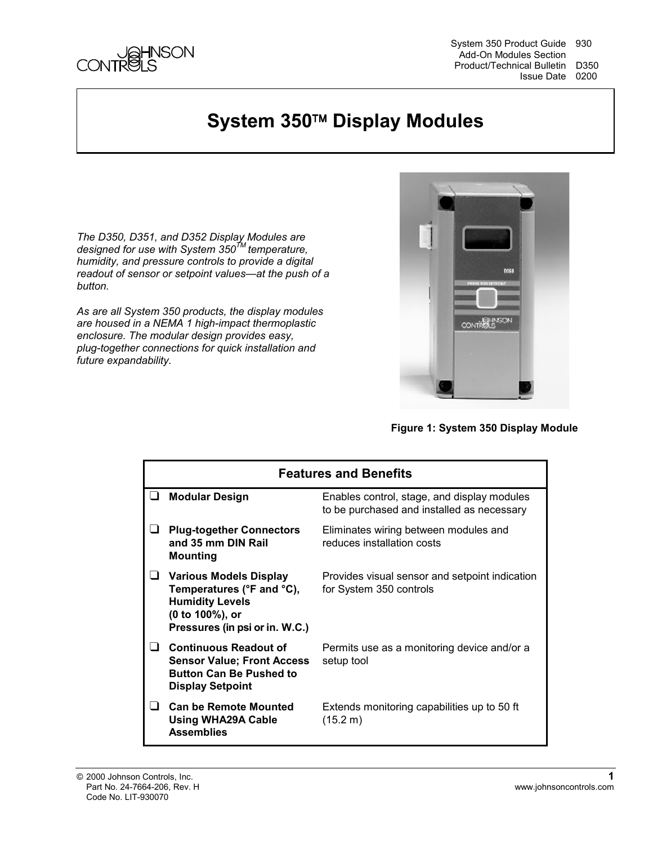

System 350 Product Guide 930 Add-On Modules Section Product/Technical Bulletin D350 Issue Date 0200

### **System 350<sup>™</sup> Display Modules**

*The D350, D351, and D352 Display Modules are designed for use with System 350TM temperature, humidity, and pressure controls to provide a digital readout of sensor or setpoint values—at the push of a button.*

*As are all System 350 products, the display modules are housed in a NEMA 1 high-impact thermoplastic enclosure. The modular design provides easy, plug-together connections for quick installation and future expandability.*



**Figure 1: System 350 Display Module** 

| <b>Features and Benefits</b> |                                                                                                                                    |                                                                                           |  |  |
|------------------------------|------------------------------------------------------------------------------------------------------------------------------------|-------------------------------------------------------------------------------------------|--|--|
| ⊔                            | <b>Modular Design</b>                                                                                                              | Enables control, stage, and display modules<br>to be purchased and installed as necessary |  |  |
|                              | <b>Plug-together Connectors</b><br>and 35 mm DIN Rail<br>Mounting                                                                  | Eliminates wiring between modules and<br>reduces installation costs                       |  |  |
|                              | Various Models Display<br>Temperatures (°F and °C),<br><b>Humidity Levels</b><br>(0 to 100%), or<br>Pressures (in psi or in. W.C.) | Provides visual sensor and setpoint indication<br>for System 350 controls                 |  |  |
|                              | <b>Continuous Readout of</b><br><b>Sensor Value: Front Access</b><br><b>Button Can Be Pushed to</b><br><b>Display Setpoint</b>     | Permits use as a monitoring device and/or a<br>setup tool                                 |  |  |
|                              | <b>Can be Remote Mounted</b><br><b>Using WHA29A Cable</b><br><b>Assemblies</b>                                                     | Extends monitoring capabilities up to 50 ft<br>(15.2 m)                                   |  |  |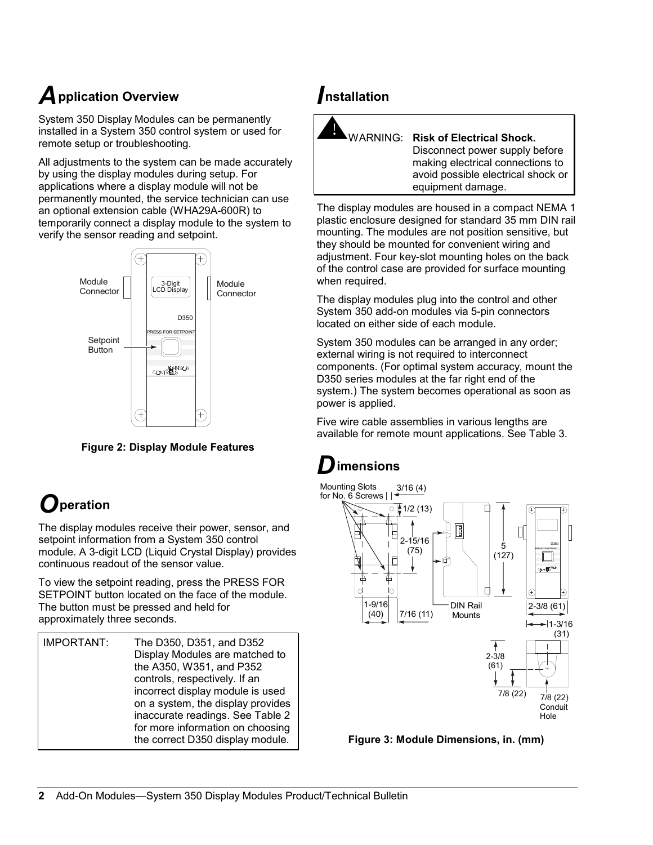## *A***pplication Overview**

System 350 Display Modules can be permanently installed in a System 350 control system or used for remote setup or troubleshooting.

All adjustments to the system can be made accurately by using the display modules during setup. For applications where a display module will not be permanently mounted, the service technician can use an optional extension cable (WHA29A-600R) to temporarily connect a display module to the system to verify the sensor reading and setpoint.



**Figure 2: Display Module Features**

## *O***peration**

The display modules receive their power, sensor, and setpoint information from a System 350 control module. A 3-digit LCD (Liquid Crystal Display) provides continuous readout of the sensor value.

To view the setpoint reading, press the PRESS FOR SETPOINT button located on the face of the module. The button must be pressed and held for approximately three seconds.

### *I***nstallation**



#### ! WARNING: **Risk of Electrical Shock.**

Disconnect power supply before making electrical connections to avoid possible electrical shock or equipment damage.

The display modules are housed in a compact NEMA 1 plastic enclosure designed for standard 35 mm DIN rail mounting. The modules are not position sensitive, but they should be mounted for convenient wiring and adjustment. Four key-slot mounting holes on the back of the control case are provided for surface mounting when required.

The display modules plug into the control and other System 350 add-on modules via 5-pin connectors located on either side of each module.

System 350 modules can be arranged in any order; external wiring is not required to interconnect components. (For optimal system accuracy, mount the D350 series modules at the far right end of the system.) The system becomes operational as soon as power is applied.

Five wire cable assemblies in various lengths are available for remote mount applications. See Table 3.

### *D***imensions**



**Figure 3: Module Dimensions, in. (mm)**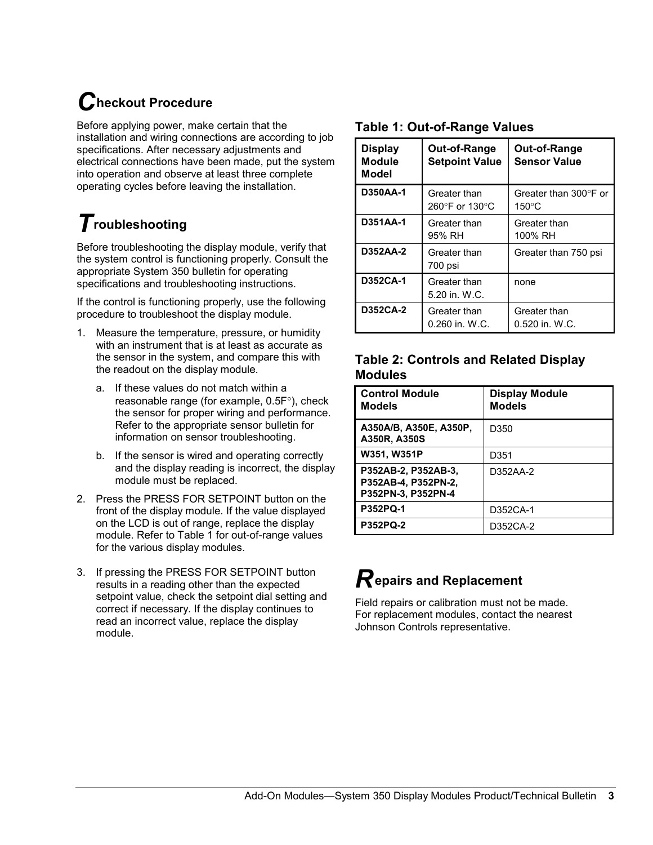# *C***heckout Procedure**

Before applying power, make certain that the installation and wiring connections are according to job specifications. After necessary adjustments and electrical connections have been made, put the system into operation and observe at least three complete operating cycles before leaving the installation.

## *T***roubleshooting**

Before troubleshooting the display module, verify that the system control is functioning properly. Consult the appropriate System 350 bulletin for operating specifications and troubleshooting instructions.

If the control is functioning properly, use the following procedure to troubleshoot the display module.

- 1. Measure the temperature, pressure, or humidity with an instrument that is at least as accurate as the sensor in the system, and compare this with the readout on the display module.
	- a. If these values do not match within a reasonable range (for example, 0.5F°), check the sensor for proper wiring and performance. Refer to the appropriate sensor bulletin for information on sensor troubleshooting.
	- b. If the sensor is wired and operating correctly and the display reading is incorrect, the display module must be replaced.
- 2. Press the PRESS FOR SETPOINT button on the front of the display module. If the value displayed on the LCD is out of range, replace the display module. Refer to Table 1 for out-of-range values for the various display modules.
- 3. If pressing the PRESS FOR SETPOINT button results in a reading other than the expected setpoint value, check the setpoint dial setting and correct if necessary. If the display continues to read an incorrect value, replace the display module.

#### **Table 1: Out-of-Range Values**

| <b>Display</b><br><b>Module</b><br><b>Model</b> | Out-of-Range<br><b>Setpoint Value</b> | Out-of-Range<br><b>Sensor Value</b>      |
|-------------------------------------------------|---------------------------------------|------------------------------------------|
| <b>D350AA-1</b>                                 | Greater than<br>260°F or 130°C        | Greater than 300°F or<br>$150^{\circ}$ C |
| D351AA-1                                        | Greater than<br>95% RH                | Greater than<br>100% RH                  |
| D352AA-2                                        | Greater than<br>700 psi               | Greater than 750 psi                     |
| <b>D352CA-1</b>                                 | Greater than<br>5.20 in. W.C.         | none                                     |
| D352CA-2                                        | Greater than<br>$0.260$ in. W.C.      | Greater than<br>0.520 in. W.C.           |

#### **Table 2: Controls and Related Display Modules**

| <b>Control Module</b><br><b>Models</b>                           | <b>Display Module</b><br><b>Models</b> |
|------------------------------------------------------------------|----------------------------------------|
| A350A/B, A350E, A350P,<br>A350R, A350S                           | D350                                   |
| W351, W351P                                                      | D351                                   |
| P352AB-2, P352AB-3,<br>P352AB-4, P352PN-2,<br>P352PN-3, P352PN-4 | D352AA-2                               |
| <b>P352PQ-1</b>                                                  | D352CA-1                               |
| <b>P352PQ-2</b>                                                  | D352CA-2                               |

## *R***epairs and Replacement**

Field repairs or calibration must not be made. For replacement modules, contact the nearest Johnson Controls representative.